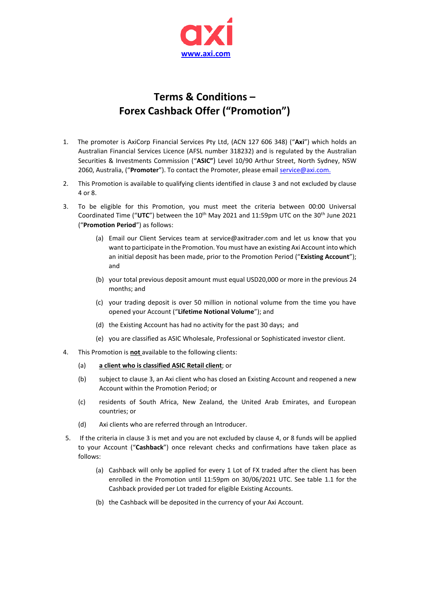

## **Terms & Conditions – Forex Cashback Offer ("Promotion")**

- 1. The promoter is AxiCorp Financial Services Pty Ltd, (ACN 127 606 348) ("**Axi**") which holds an Australian Financial Services Licence (AFSL number 318232) and is regulated by the Australian Securities & Investments Commission ("**ASIC"**) Level 10/90 Arthur Street, North Sydney, NSW 2060, Australia, ("**Promoter**"). To contact the Promoter, please email [service@axi.com.](mailto:service@axi.com)
- 2. This Promotion is available to qualifying clients identified in clause 3 and not excluded by clause 4 or 8.
- 3. To be eligible for this Promotion, you must meet the criteria between 00:00 Universal Coordinated Time ("UTC") between the 10<sup>th</sup> May 2021 and 11:59pm UTC on the 30<sup>th</sup> June 2021 ("**Promotion Period**") as follows:
	- (a) Email our Client Services team at service@axitrader.com and let us know that you want to participate in the Promotion. You must have an existing Axi Account into which an initial deposit has been made, prior to the Promotion Period ("**Existing Account**"); and
	- (b) your total previous deposit amount must equal USD20,000 or more in the previous 24 months; and
	- (c) your trading deposit is over 50 million in notional volume from the time you have opened your Account ("**Lifetime Notional Volume**"); and
	- (d) the Existing Account has had no activity for the past 30 days; and
	- (e) you are classified as ASIC Wholesale, Professional or Sophisticated investor client.
- 4. This Promotion is **not** available to the following clients:
	- (a) **a client who is classified ASIC Retail client**; or
	- (b) subject to clause 3, an Axi client who has closed an Existing Account and reopened a new Account within the Promotion Period; or
	- (c) residents of South Africa, New Zealand, the United Arab Emirates, and European countries; or
	- (d) Axi clients who are referred through an Introducer.
- 5. If the criteria in clause 3 is met and you are not excluded by clause 4, or 8 funds will be applied to your Account ("**Cashback**") once relevant checks and confirmations have taken place as follows:
	- (a) Cashback will only be applied for every 1 Lot of FX traded after the client has been enrolled in the Promotion until 11:59pm on 30/06/2021 UTC. See table 1.1 for the Cashback provided per Lot traded for eligible Existing Accounts.
	- (b) the Cashback will be deposited in the currency of your Axi Account.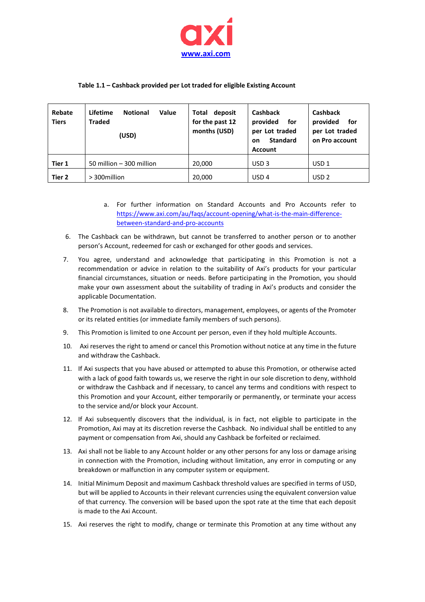

## **Table 1.1 – Cashback provided per Lot traded for eligible Existing Account**

| Rebate<br><b>Tiers</b> | Lifetime<br>Value<br><b>Notional</b><br><b>Traded</b><br>(USD) | Total<br>deposit<br>for the past 12<br>months (USD) | Cashback<br>provided<br>for<br>per Lot traded<br><b>Standard</b><br><b>on</b><br><b>Account</b> | <b>Cashback</b><br>provided<br>for<br>per Lot traded<br>on Pro account |
|------------------------|----------------------------------------------------------------|-----------------------------------------------------|-------------------------------------------------------------------------------------------------|------------------------------------------------------------------------|
| Tier 1                 | 50 million - 300 million                                       | 20,000                                              | USD <sub>3</sub>                                                                                | USD <sub>1</sub>                                                       |
| Tier 2                 | > 300 million                                                  | 20,000                                              | USD <sub>4</sub>                                                                                | USD <sub>2</sub>                                                       |

- a. For further information on Standard Accounts and Pro Accounts refer to [https://www.axi.com/au/faqs/account-opening/what-is-the-main-difference](https://www.axi.com/au/faqs/account-opening/what-is-the-main-difference-between-standard-and-pro-accounts)[between-standard-and-pro-accounts](https://www.axi.com/au/faqs/account-opening/what-is-the-main-difference-between-standard-and-pro-accounts)
- 6. The Cashback can be withdrawn, but cannot be transferred to another person or to another person's Account, redeemed for cash or exchanged for other goods and services.
- 7. You agree, understand and acknowledge that participating in this Promotion is not a recommendation or advice in relation to the suitability of Axi's products for your particular financial circumstances, situation or needs. Before participating in the Promotion, you should make your own assessment about the suitability of trading in Axi's products and consider the applicable Documentation.
- 8. The Promotion is not available to directors, management, employees, or agents of the Promoter or its related entities (or immediate family members of such persons).
- 9. This Promotion is limited to one Account per person, even if they hold multiple Accounts.
- 10. Axi reserves the right to amend or cancel this Promotion without notice at any time in the future and withdraw the Cashback.
- 11. If Axi suspects that you have abused or attempted to abuse this Promotion, or otherwise acted with a lack of good faith towards us, we reserve the right in our sole discretion to deny, withhold or withdraw the Cashback and if necessary, to cancel any terms and conditions with respect to this Promotion and your Account, either temporarily or permanently, or terminate your access to the service and/or block your Account.
- 12. If Axi subsequently discovers that the individual, is in fact, not eligible to participate in the Promotion, Axi may at its discretion reverse the Cashback. No individual shall be entitled to any payment or compensation from Axi, should any Cashback be forfeited or reclaimed.
- 13. Axi shall not be liable to any Account holder or any other persons for any loss or damage arising in connection with the Promotion, including without limitation, any error in computing or any breakdown or malfunction in any computer system or equipment.
- 14. Initial Minimum Deposit and maximum Cashback threshold values are specified in terms of USD, but will be applied to Accounts in their relevant currencies using the equivalent conversion value of that currency. The conversion will be based upon the spot rate at the time that each deposit is made to the Axi Account.
- 15. Axi reserves the right to modify, change or terminate this Promotion at any time without any